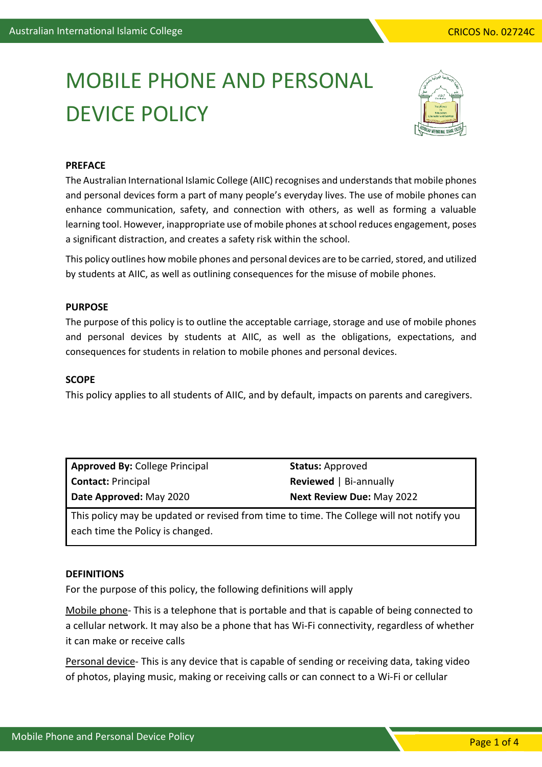# MOBILE PHONE AND PERSONAL DEVICE POLICY



# **PREFACE**

The Australian International Islamic College (AIIC) recognises and understands that mobile phones and personal devices form a part of many people's everyday lives. The use of mobile phones can enhance communication, safety, and connection with others, as well as forming a valuable learning tool. However, inappropriate use of mobile phones at school reduces engagement, poses a significant distraction, and creates a safety risk within the school.

This policy outlines how mobile phones and personal devices are to be carried, stored, and utilized by students at AIIC, as well as outlining consequences for the misuse of mobile phones.

## **PURPOSE**

The purpose of this policy is to outline the acceptable carriage, storage and use of mobile phones and personal devices by students at AIIC, as well as the obligations, expectations, and consequences for students in relation to mobile phones and personal devices.

# **SCOPE**

This policy applies to all students of AIIC, and by default, impacts on parents and caregivers.

| <b>Approved By: College Principal</b> | <b>Status: Approved</b>          |
|---------------------------------------|----------------------------------|
| <b>Contact: Principal</b>             | <b>Reviewed</b>   Bi-annually    |
| Date Approved: May 2020               | <b>Next Review Due: May 2022</b> |

This policy may be updated or revised from time to time. The College will not notify you each time the Policy is changed.

## **DEFINITIONS**

For the purpose of this policy, the following definitions will apply

Mobile phone- This is a telephone that is portable and that is capable of being connected to a cellular network. It may also be a phone that has Wi-Fi connectivity, regardless of whether it can make or receive calls

Personal device- This is any device that is capable of sending or receiving data, taking video of photos, playing music, making or receiving calls or can connect to a Wi-Fi or cellular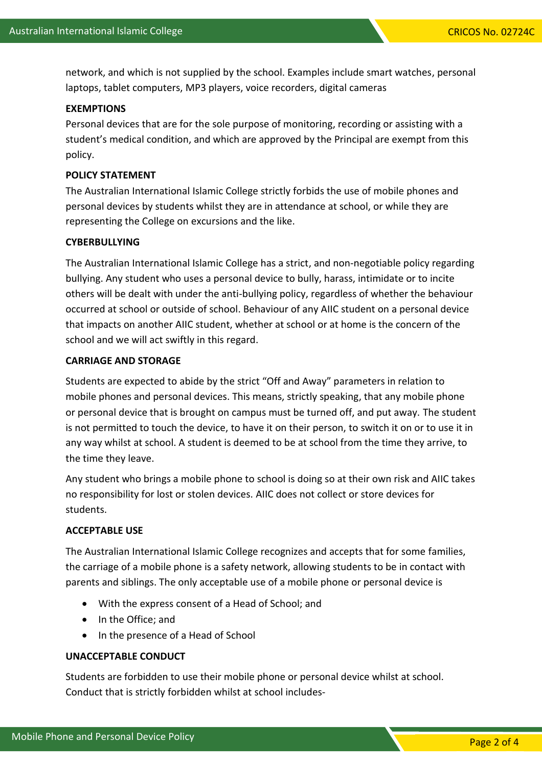network, and which is not supplied by the school. Examples include smart watches, personal laptops, tablet computers, MP3 players, voice recorders, digital cameras

## **EXEMPTIONS**

Personal devices that are for the sole purpose of monitoring, recording or assisting with a student's medical condition, and which are approved by the Principal are exempt from this policy.

#### **POLICY STATEMENT**

The Australian International Islamic College strictly forbids the use of mobile phones and personal devices by students whilst they are in attendance at school, or while they are representing the College on excursions and the like.

#### **CYBERBULLYING**

The Australian International Islamic College has a strict, and non-negotiable policy regarding bullying. Any student who uses a personal device to bully, harass, intimidate or to incite others will be dealt with under the anti-bullying policy, regardless of whether the behaviour occurred at school or outside of school. Behaviour of any AIIC student on a personal device that impacts on another AIIC student, whether at school or at home is the concern of the school and we will act swiftly in this regard.

#### **CARRIAGE AND STORAGE**

Students are expected to abide by the strict "Off and Away" parameters in relation to mobile phones and personal devices. This means, strictly speaking, that any mobile phone or personal device that is brought on campus must be turned off, and put away. The student is not permitted to touch the device, to have it on their person, to switch it on or to use it in any way whilst at school. A student is deemed to be at school from the time they arrive, to the time they leave.

Any student who brings a mobile phone to school is doing so at their own risk and AIIC takes no responsibility for lost or stolen devices. AIIC does not collect or store devices for students.

## **ACCEPTABLE USE**

The Australian International Islamic College recognizes and accepts that for some families, the carriage of a mobile phone is a safety network, allowing students to be in contact with parents and siblings. The only acceptable use of a mobile phone or personal device is

- With the express consent of a Head of School; and
- In the Office; and
- In the presence of a Head of School

# **UNACCEPTABLE CONDUCT**

Students are forbidden to use their mobile phone or personal device whilst at school. Conduct that is strictly forbidden whilst at school includes-